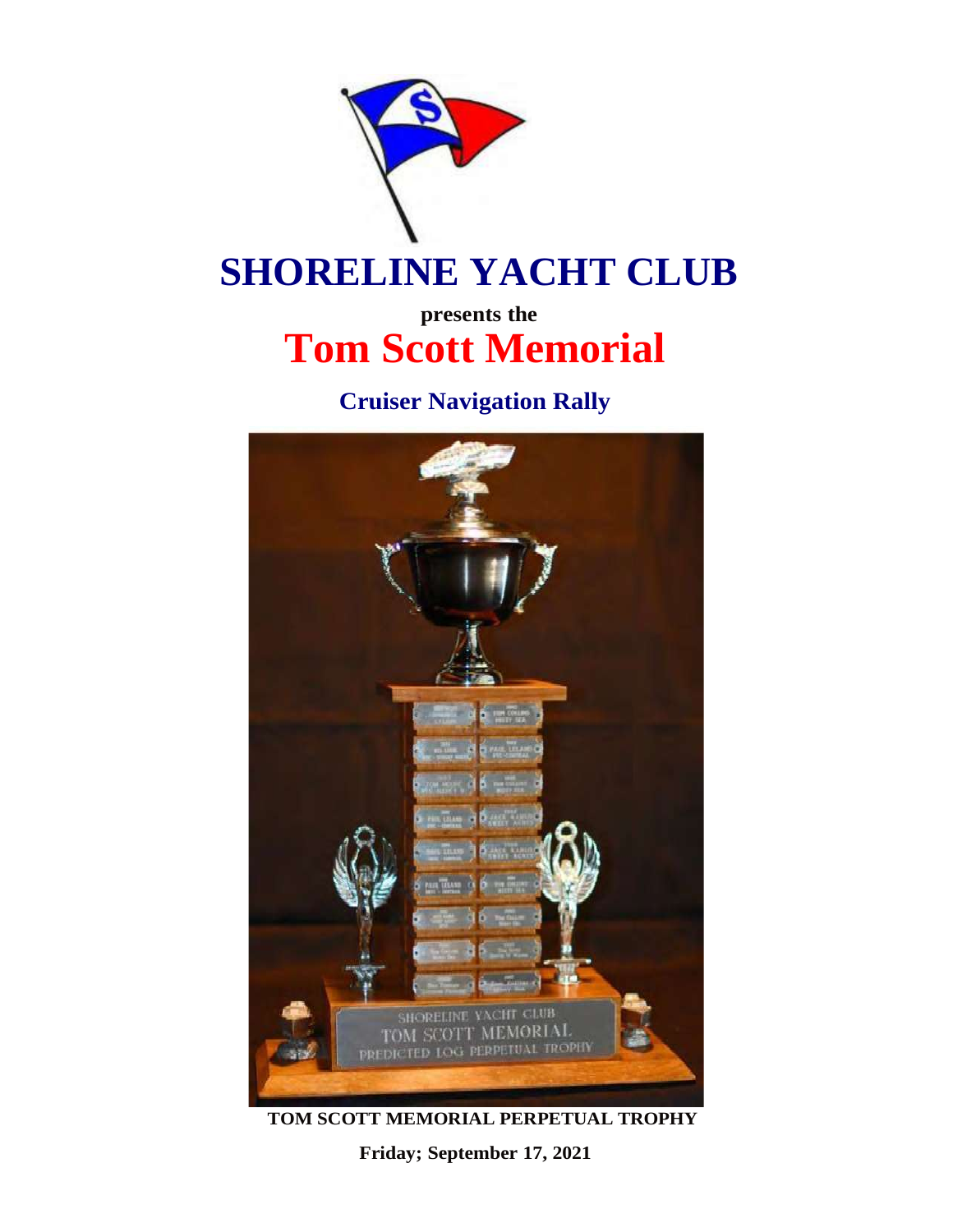

**Cruiser Navigation Rally**



**TOM SCOTT MEMORIAL PERPETUAL TROPHY**

**Friday; September 17, 2021**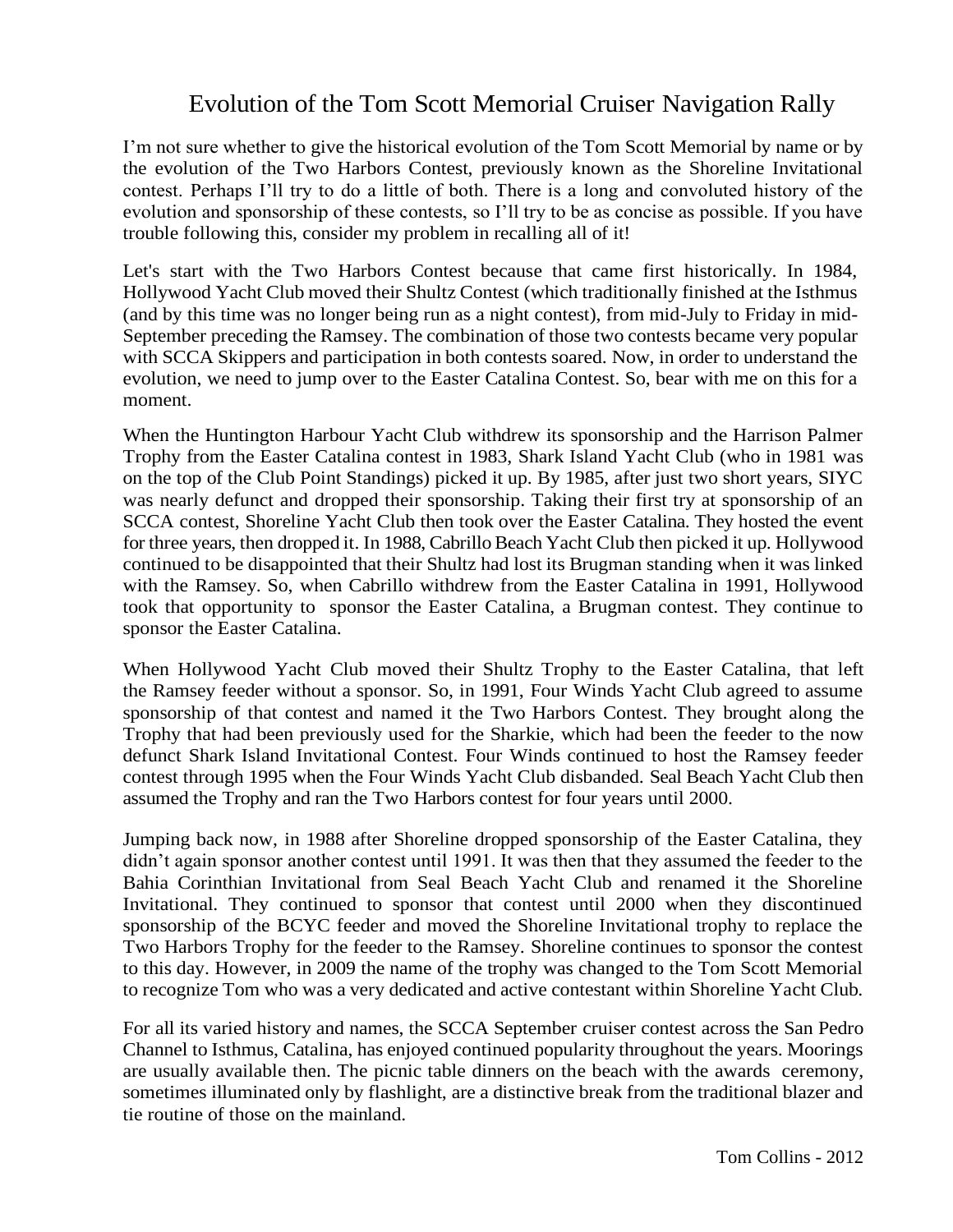## Evolution of the Tom Scott Memorial Cruiser Navigation Rally

I'm not sure whether to give the historical evolution of the Tom Scott Memorial by name or by the evolution of the Two Harbors Contest, previously known as the Shoreline Invitational contest. Perhaps I'll try to do a little of both. There is a long and convoluted history of the evolution and sponsorship of these contests, so I'll try to be as concise as possible. If you have trouble following this, consider my problem in recalling all of it!

Let's start with the Two Harbors Contest because that came first historically. In 1984, Hollywood Yacht Club moved their Shultz Contest (which traditionally finished at the Isthmus (and by this time was no longer being run as a night contest), from mid-July to Friday in mid-September preceding the Ramsey. The combination of those two contests became very popular with SCCA Skippers and participation in both contests soared. Now, in order to understand the evolution, we need to jump over to the Easter Catalina Contest. So, bear with me on this for a moment.

When the Huntington Harbour Yacht Club withdrew its sponsorship and the Harrison Palmer Trophy from the Easter Catalina contest in 1983, Shark Island Yacht Club (who in 1981 was on the top of the Club Point Standings) picked it up. By 1985, after just two short years, SIYC was nearly defunct and dropped their sponsorship. Taking their first try at sponsorship of an SCCA contest, Shoreline Yacht Club then took over the Easter Catalina. They hosted the event for three years, then dropped it. In 1988, Cabrillo Beach Yacht Club then picked it up. Hollywood continued to be disappointed that their Shultz had lost its Brugman standing when it was linked with the Ramsey. So, when Cabrillo withdrew from the Easter Catalina in 1991, Hollywood took that opportunity to sponsor the Easter Catalina, a Brugman contest. They continue to sponsor the Easter Catalina.

When Hollywood Yacht Club moved their Shultz Trophy to the Easter Catalina, that left the Ramsey feeder without a sponsor. So, in 1991, Four Winds Yacht Club agreed to assume sponsorship of that contest and named it the Two Harbors Contest. They brought along the Trophy that had been previously used for the Sharkie, which had been the feeder to the now defunct Shark Island Invitational Contest. Four Winds continued to host the Ramsey feeder contest through 1995 when the Four Winds Yacht Club disbanded. Seal Beach Yacht Club then assumed the Trophy and ran the Two Harbors contest for four years until 2000.

Jumping back now, in 1988 after Shoreline dropped sponsorship of the Easter Catalina, they didn't again sponsor another contest until 1991. It was then that they assumed the feeder to the Bahia Corinthian Invitational from Seal Beach Yacht Club and renamed it the Shoreline Invitational. They continued to sponsor that contest until 2000 when they discontinued sponsorship of the BCYC feeder and moved the Shoreline Invitational trophy to replace the Two Harbors Trophy for the feeder to the Ramsey. Shoreline continues to sponsor the contest to this day. However, in 2009 the name of the trophy was changed to the Tom Scott Memorial to recognize Tom who was a very dedicated and active contestant within Shoreline Yacht Club.

For all its varied history and names, the SCCA September cruiser contest across the San Pedro Channel to Isthmus, Catalina, has enjoyed continued popularity throughout the years. Moorings are usually available then. The picnic table dinners on the beach with the awards ceremony, sometimes illuminated only by flashlight, are a distinctive break from the traditional blazer and tie routine of those on the mainland.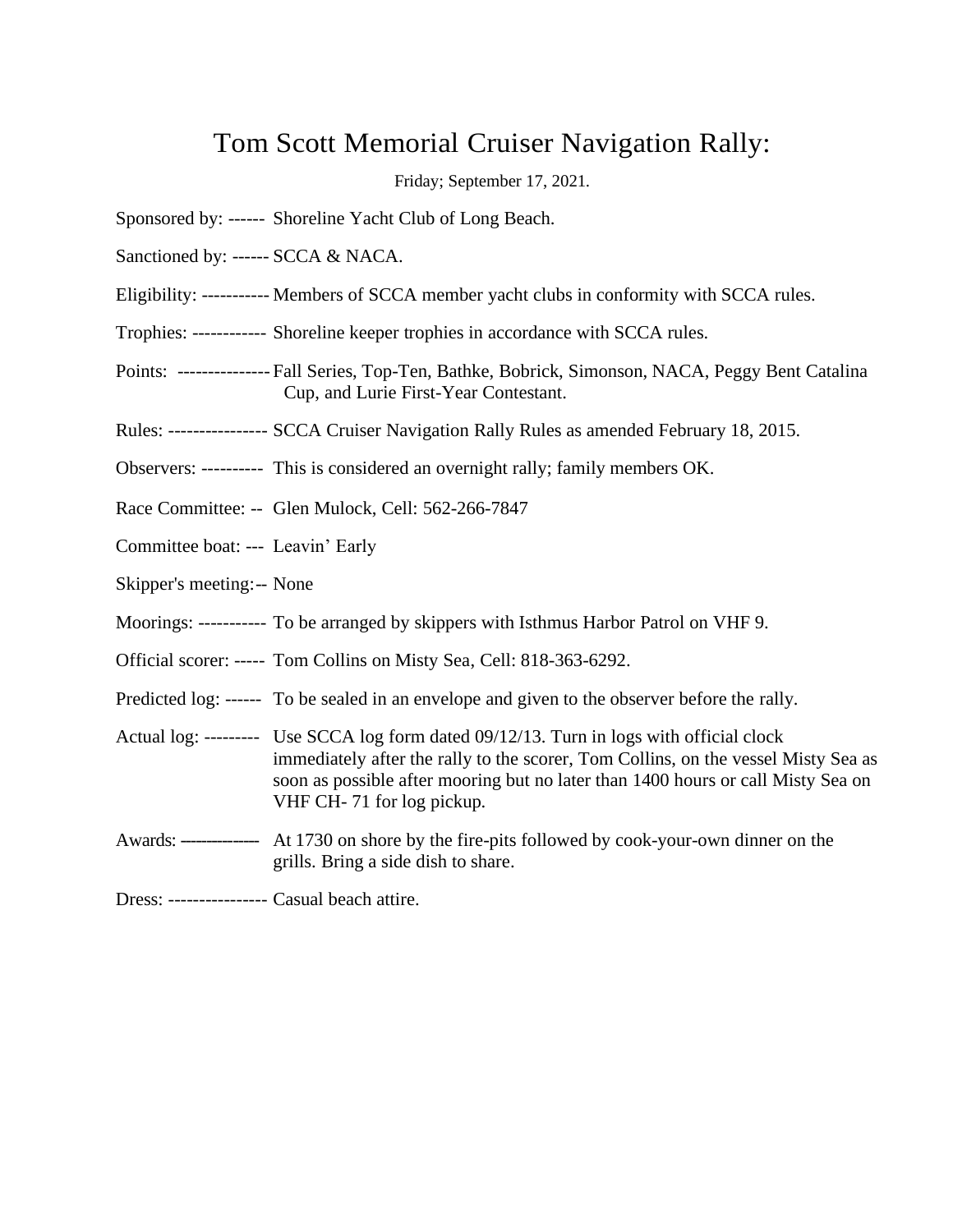# Tom Scott Memorial Cruiser Navigation Rally:

Friday; September 17, 2021.

- Sponsored by: ------ Shoreline Yacht Club of Long Beach.
- Sanctioned by: ------ SCCA & NACA.
- Eligibility: ----------- Members of SCCA member yacht clubs in conformity with SCCA rules.
- Trophies: ------------ Shoreline keeper trophies in accordance with SCCA rules.
- Points: --------------- Fall Series, Top-Ten, Bathke, Bobrick, Simonson, NACA, Peggy Bent Catalina Cup, and Lurie First-Year Contestant.
- Rules: ---------------- SCCA Cruiser Navigation Rally Rules as amended February 18, 2015.
- Observers: ---------- This is considered an overnight rally; family members OK.
- Race Committee: -- Glen Mulock, Cell: 562-266-7847
- Committee boat: --- Leavin' Early
- Skipper's meeting:-- None
- Moorings: ----------- To be arranged by skippers with Isthmus Harbor Patrol on VHF 9.
- Official scorer: ----- Tom Collins on Misty Sea, Cell: 818-363-6292.
- Predicted log: ------ To be sealed in an envelope and given to the observer before the rally.
- Actual log: --------- Use SCCA log form dated 09/12/13. Turn in logs with official clock immediately after the rally to the scorer, Tom Collins, on the vessel Misty Sea as soon as possible after mooring but no later than 1400 hours or call Misty Sea on VHF CH- 71 for log pickup.
- Awards: --------------- At 1730 on shore by the fire-pits followed by cook-your-own dinner on the grills. Bring a side dish to share.

Dress: ---------------- Casual beach attire.